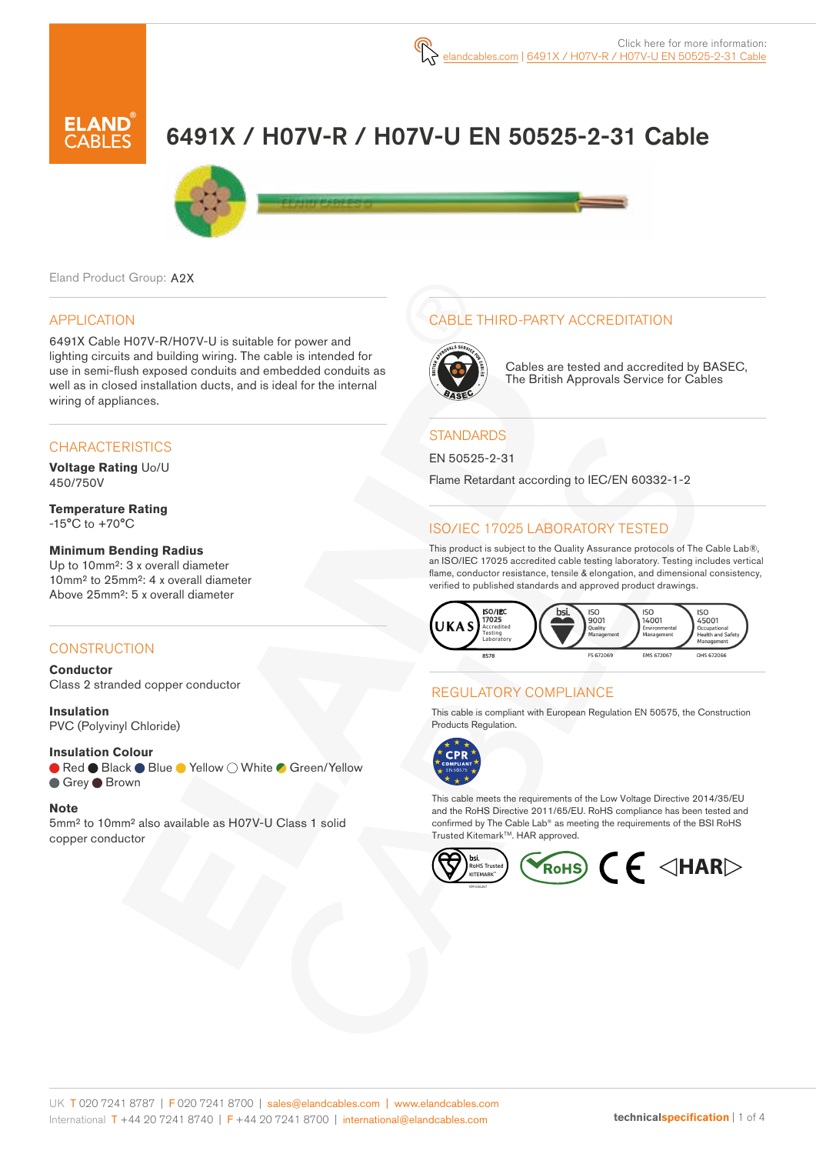# 6491X / H07V-R / H07V-U EN 50525-2-31 Cable



Eland Product Group: A2X

#### APPLICATION

6491X Cable H07V-R/H07V-U is suitable for power and lighting circuits and building wiring. The cable is intended for use in semi-flush exposed conduits and embedded conduits as well as in closed installation ducts, and is ideal for the internal wiring of appliances.

#### **CHARACTERISTICS**

**Voltage Rating** Uo/U 450/750V

**Temperature Rating** -15°C to +70°C

#### **Minimum Bending Radius**

Up to 10mm²: 3 x overall diameter 10mm² to 25mm²: 4 x overall diameter Above 25mm²: 5 x overall diameter

#### **CONSTRUCTION**

**Conductor** Class 2 stranded copper conductor

**Insulation** PVC (Polyvinyl Chloride)

#### **Insulation Colour**

● Red ● Black ● Blue ● Yellow ○ White ● Green/Yellow ● Grey ● Brown

#### **Note**

5mm² to 10mm² also available as H07V-U Class 1 solid copper conductor

## CABLE THIRD-PARTY ACCREDITATION



Cables are tested and accredited by BASEC, The British Approvals Service for Cables

#### **STANDARDS**

EN 50525-2-31

Flame Retardant according to IEC/EN 60332-1-2

### ISO/IEC 17025 LABORATORY TESTED

This product is subject to the Quality Assurance protocols of The Cable Lab®, an ISO/IEC 17025 accredited cable testing laboratory. Testing includes vertical flame, conductor resistance, tensile & elongation, and dimensional consistency, verified to published standards and approved product drawings.



#### REGULATORY COMPLIANCE

This cable is compliant with European Regulation EN 50575, the Construction Products Regulation.



This cable meets the requirements of the Low Voltage Directive 2014/35/EU and the RoHS Directive 2011/65/EU. RoHS compliance has been tested and confirmed by The Cable Lab® as meeting the requirements of the BSI RoHS Trusted KitemarkTM. HAR approved.

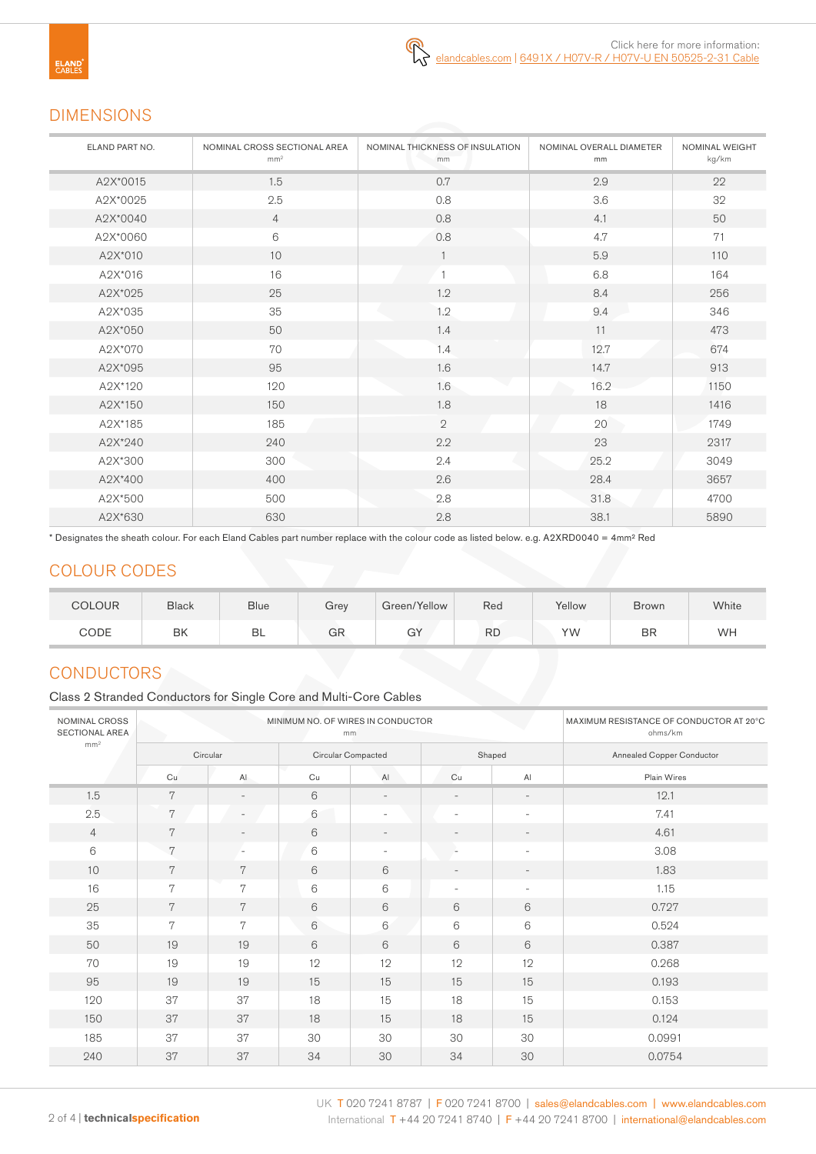# DIMENSIONS

| ELAND PART NO. | NOMINAL CROSS SECTIONAL AREA<br>mm <sup>2</sup> | NOMINAL THICKNESS OF INSULATION<br>mm | NOMINAL OVERALL DIAMETER<br>mm | <b>NOMINAL WEIGHT</b><br>kg/km |
|----------------|-------------------------------------------------|---------------------------------------|--------------------------------|--------------------------------|
| A2X*0015       | 1.5                                             | 0.7                                   | 2.9                            | 22                             |
| A2X*0025       | 2.5                                             | 0.8                                   | 3.6                            | 32                             |
| A2X*0040       | $\overline{4}$                                  | 0.8                                   | 4.1                            | 50                             |
| A2X*0060       | 6                                               | 0.8                                   | 4.7                            | 71                             |
| A2X*010        | 10                                              |                                       | 5.9                            | 110                            |
| A2X*016        | 16                                              |                                       | 6.8                            | 164                            |
| A2X*025        | 25                                              | 1.2                                   | 8.4                            | 256                            |
| A2X*035        | 35                                              | 1.2                                   | 9.4                            | 346                            |
| A2X*050        | 50                                              | 1.4                                   | 11                             | 473                            |
| A2X*070        | 70                                              | 1.4                                   | 12.7                           | 674                            |
| A2X*095        | 95                                              | 1.6                                   | 14.7                           | 913                            |
| A2X*120        | 120                                             | 1.6                                   | 16.2                           | 1150                           |
| A2X*150        | 150                                             | 1.8                                   | 18                             | 1416                           |
| A2X*185        | 185                                             | $\overline{2}$                        | 20                             | 1749                           |
| A2X*240        | 240                                             | 2.2                                   | 23                             | 2317                           |
| A2X*300        | 300                                             | 2.4                                   | 25.2                           | 3049                           |
| A2X*400        | 400                                             | 2.6                                   | 28.4                           | 3657                           |
| A2X*500        | 500                                             | 2.8                                   | 31.8                           | 4700                           |
| A2X*630        | 630                                             | 2.8                                   | 38.1                           | 5890                           |

\* Designates the sheath colour. For each Eland Cables part number replace with the colour code as listed below. e.g. A2XRD0040 = 4mm² Red

# COLOUR CODES

| <b>COLOUR</b> | <b>Black</b> | <b>Blue</b> | Grey | Green/Yellow | Red       | Yellow | <b>Brown</b> | White |
|---------------|--------------|-------------|------|--------------|-----------|--------|--------------|-------|
| CODE          | BK           | BL          | GR   | GY           | <b>RD</b> | ΥW     | <b>BR</b>    | WH    |

# **CONDUCTORS**

Class 2 Stranded Conductors for Single Core and Multi-Core Cables

| NOMINAL CROSS<br><b>SECTIONAL AREA</b> |          | MINIMUM NO. OF WIRES IN CONDUCTOR | MAXIMUM RESISTANCE OF CONDUCTOR AT 20°C<br>ohms/km |                          |                          |                          |                           |  |  |
|----------------------------------------|----------|-----------------------------------|----------------------------------------------------|--------------------------|--------------------------|--------------------------|---------------------------|--|--|
| mm <sup>2</sup>                        | Circular |                                   | Circular Compacted                                 |                          |                          | Shaped                   | Annealed Copper Conductor |  |  |
|                                        | Cu       | AI                                | Cu                                                 | AI                       | Cu                       | AI                       | Plain Wires               |  |  |
| 1.5                                    | 7        | $\overline{\phantom{a}}$          | 6                                                  | $\overline{\phantom{a}}$ | $\overline{\phantom{a}}$ | $\overline{\phantom{a}}$ | 12.1                      |  |  |
| 2.5                                    | 7        | $\overline{\phantom{a}}$          | 6                                                  | $\overline{\phantom{0}}$ | $\overline{\phantom{a}}$ | $\overline{\phantom{a}}$ | 7.41                      |  |  |
| $\overline{4}$                         | 7        | $\overline{\phantom{a}}$          | 6                                                  | $\overline{\phantom{a}}$ | $\overline{\phantom{a}}$ | $\overline{\phantom{a}}$ | 4.61                      |  |  |
| 6                                      | 7        | $\overline{\phantom{a}}$          | 6                                                  | $\overline{\phantom{a}}$ | $\sim$                   | $\overline{\phantom{a}}$ | 3.08                      |  |  |
| 10                                     | 7        | 7                                 | 6                                                  | 6                        | $\overline{\phantom{a}}$ | $\overline{\phantom{a}}$ | 1.83                      |  |  |
| 16                                     | 7        | 7                                 | 6                                                  | 6                        | $\overline{\phantom{a}}$ | $\overline{\phantom{a}}$ | 1.15                      |  |  |
| 25                                     | 7        | 7                                 | 6                                                  | 6                        | 6                        | 6                        | 0.727                     |  |  |
| 35                                     | 7        | 7                                 | $\mathbf 6$                                        | 6                        | 6                        | 6                        | 0.524                     |  |  |
| 50                                     | 19       | 19                                | 6                                                  | 6                        | 6                        | 6                        | 0.387                     |  |  |
| 70                                     | 19       | 19                                | 12                                                 | 12                       | 12                       | 12                       | 0.268                     |  |  |
| 95                                     | 19       | 19                                | 15                                                 | 15                       | 15                       | 15                       | 0.193                     |  |  |
| 120                                    | 37       | 37                                | 18                                                 | 15                       | 18                       | 15                       | 0.153                     |  |  |
| 150                                    | 37       | 37                                | 18                                                 | 15                       | 18                       | 15                       | 0.124                     |  |  |
| 185                                    | 37       | 37                                | 30                                                 | 30                       | 30                       | 30                       | 0.0991                    |  |  |
| 240                                    | 37       | 37                                | 34                                                 | 30                       | 34                       | 30                       | 0.0754                    |  |  |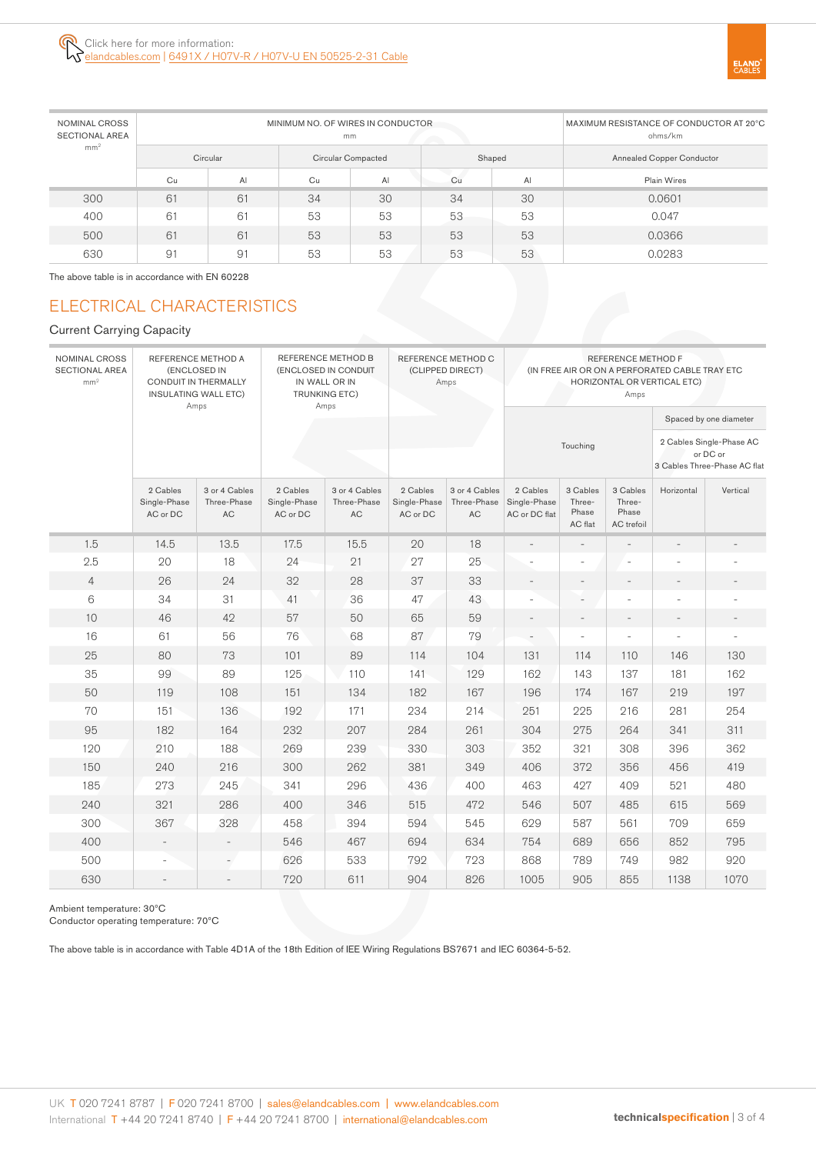| NOMINAL CROSS<br><b>SECTIONAL AREA</b> |    | MINIMUM NO. OF WIRES IN CONDUCTOR | MAXIMUM RESISTANCE OF CONDUCTOR AT 20°C<br>ohms/km |                    |    |                |                                  |  |  |  |
|----------------------------------------|----|-----------------------------------|----------------------------------------------------|--------------------|----|----------------|----------------------------------|--|--|--|
| mm <sup>2</sup>                        |    | Circular                          |                                                    | Circular Compacted |    | Shaped         | <b>Annealed Copper Conductor</b> |  |  |  |
|                                        | Cu | Al                                | Cu                                                 | AI                 | Cu | A <sub>l</sub> | Plain Wires                      |  |  |  |
| 300                                    | 61 | 61                                | 34                                                 | 30                 | 34 | 30             | 0.0601                           |  |  |  |
| 400                                    | 61 | 61                                | 53                                                 | 53                 | 53 | 53             | 0.047                            |  |  |  |
| 500                                    | 61 | 61                                | 53                                                 | 53                 | 53 | 53             | 0.0366                           |  |  |  |
| 630                                    | 91 | 91                                | 53                                                 | 53                 | 53 | 53             | 0.0283                           |  |  |  |

The above table is in accordance with EN 60228

# ELECTRICAL CHARACTERISTICS

#### Current Carrying Capacity

| NOMINAL CROSS<br>REFERENCE METHOD A<br><b>SECTIONAL AREA</b><br>(ENCLOSED IN<br>mm <sup>2</sup><br>CONDUIT IN THERMALLY<br><b>INSULATING WALL ETC)</b><br>Amps |                                      |                                    | REFERENCE METHOD B<br>(ENCLOSED IN CONDUIT<br>IN WALL OR IN<br><b>TRUNKING ETC)</b><br>Amps |                                    | REFERENCE METHOD C<br>(CLIPPED DIRECT)<br>Amps | REFERENCE METHOD F<br>(IN FREE AIR OR ON A PERFORATED CABLE TRAY ETC<br>HORIZONTAL OR VERTICAL ETC)<br>Amps |                                           |                                        |                                           |                                                                      |                          |  |  |
|----------------------------------------------------------------------------------------------------------------------------------------------------------------|--------------------------------------|------------------------------------|---------------------------------------------------------------------------------------------|------------------------------------|------------------------------------------------|-------------------------------------------------------------------------------------------------------------|-------------------------------------------|----------------------------------------|-------------------------------------------|----------------------------------------------------------------------|--------------------------|--|--|
|                                                                                                                                                                |                                      |                                    |                                                                                             |                                    |                                                |                                                                                                             |                                           |                                        |                                           | Spaced by one diameter                                               |                          |  |  |
|                                                                                                                                                                |                                      |                                    |                                                                                             |                                    |                                                |                                                                                                             |                                           | Touching                               |                                           | 2 Cables Single-Phase AC<br>or DC or<br>3 Cables Three-Phase AC flat |                          |  |  |
|                                                                                                                                                                | 2 Cables<br>Single-Phase<br>AC or DC | 3 or 4 Cables<br>Three-Phase<br>AC | 2 Cables<br>Single-Phase<br>AC or DC                                                        | 3 or 4 Cables<br>Three-Phase<br>AC | 2 Cables<br>Single-Phase<br>AC or DC           | 3 or 4 Cables<br>Three-Phase<br>AC                                                                          | 2 Cables<br>Single-Phase<br>AC or DC flat | 3 Cables<br>Three-<br>Phase<br>AC flat | 3 Cables<br>Three-<br>Phase<br>AC trefoil | Horizontal                                                           | Vertical                 |  |  |
| 1.5                                                                                                                                                            | 14.5                                 | 13.5                               | 17.5                                                                                        | 15.5                               | 20                                             | 18                                                                                                          |                                           | $\overline{\phantom{a}}$               |                                           | $\overline{\phantom{a}}$                                             |                          |  |  |
| 2.5                                                                                                                                                            | 20                                   | 18                                 | 24                                                                                          | 21                                 | 27                                             | 25                                                                                                          |                                           | ÷.                                     | L.                                        |                                                                      |                          |  |  |
| $\overline{4}$                                                                                                                                                 | 26                                   | 24                                 | 32                                                                                          | 28                                 | 37                                             | 33                                                                                                          | $\overline{a}$                            | $\overline{\phantom{a}}$               | $\equiv$                                  | $\overline{a}$                                                       |                          |  |  |
| 6                                                                                                                                                              | 34                                   | 31                                 | 41                                                                                          | 36                                 | 47                                             | 43                                                                                                          |                                           | ٠                                      | ÷,                                        | ÷,                                                                   |                          |  |  |
| 10                                                                                                                                                             | 46                                   | 42                                 | 57                                                                                          | 50                                 | 65                                             | 59                                                                                                          |                                           | $\overline{\phantom{a}}$               | $\qquad \qquad -$                         | $\overline{\phantom{m}}$                                             | $\overline{\phantom{m}}$ |  |  |
| 16                                                                                                                                                             | 61                                   | 56                                 | 76                                                                                          | 68                                 | 87                                             | 79                                                                                                          |                                           | ÷                                      | ÷.                                        |                                                                      |                          |  |  |
| 25                                                                                                                                                             | 80                                   | 73                                 | 101                                                                                         | 89                                 | 114                                            | 104                                                                                                         | 131                                       | 114                                    | 110                                       | 146                                                                  | 130                      |  |  |
| 35                                                                                                                                                             | 99                                   | 89                                 | 125                                                                                         | 110                                | 141                                            | 129                                                                                                         | 162                                       | 143                                    | 137                                       | 181                                                                  | 162                      |  |  |
| 50                                                                                                                                                             | 119                                  | 108                                | 151                                                                                         | 134                                | 182                                            | 167                                                                                                         | 196                                       | 174                                    | 167                                       | 219                                                                  | 197                      |  |  |
| 70                                                                                                                                                             | 151                                  | 136                                | 192                                                                                         | 171                                | 234                                            | 214                                                                                                         | 251                                       | 225                                    | 216                                       | 281                                                                  | 254                      |  |  |
| 95                                                                                                                                                             | 182                                  | 164                                | 232                                                                                         | 207                                | 284                                            | 261                                                                                                         | 304                                       | 275                                    | 264                                       | 341                                                                  | 311                      |  |  |
| 120                                                                                                                                                            | 210                                  | 188                                | 269                                                                                         | 239                                | 330                                            | 303                                                                                                         | 352                                       | 321                                    | 308                                       | 396                                                                  | 362                      |  |  |
| 150                                                                                                                                                            | 240                                  | 216                                | 300                                                                                         | 262                                | 381                                            | 349                                                                                                         | 406                                       | 372                                    | 356                                       | 456                                                                  | 419                      |  |  |
| 185                                                                                                                                                            | 273                                  | 245                                | 341                                                                                         | 296                                | 436                                            | 400                                                                                                         | 463                                       | 427                                    | 409                                       | 521                                                                  | 480                      |  |  |
| 240                                                                                                                                                            | 321                                  | 286                                | 400                                                                                         | 346                                | 515                                            | 472                                                                                                         | 546                                       | 507                                    | 485                                       | 615                                                                  | 569                      |  |  |
| 300                                                                                                                                                            | 367                                  | 328                                | 458                                                                                         | 394                                | 594                                            | 545                                                                                                         | 629                                       | 587                                    | 561                                       | 709                                                                  | 659                      |  |  |
| 400                                                                                                                                                            | $\overline{\phantom{a}}$             | $\overline{\phantom{a}}$           | 546                                                                                         | 467                                | 694                                            | 634                                                                                                         | 754                                       | 689                                    | 656                                       | 852                                                                  | 795                      |  |  |
| 500                                                                                                                                                            |                                      | $\overline{\phantom{a}}$           | 626                                                                                         | 533                                | 792                                            | 723                                                                                                         | 868                                       | 789                                    | 749                                       | 982                                                                  | 920                      |  |  |
| 630                                                                                                                                                            | $\overline{\phantom{a}}$             | $\qquad \qquad -$                  | 720                                                                                         | 611                                | 904                                            | 826                                                                                                         | 1005                                      | 905                                    | 855                                       | 1138                                                                 | 1070                     |  |  |

Ambient temperature: 30ºC

Conductor operating temperature: 70ºC

The above table is in accordance with Table 4D1A of the 18th Edition of IEE Wiring Regulations BS7671 and IEC 60364-5-52.